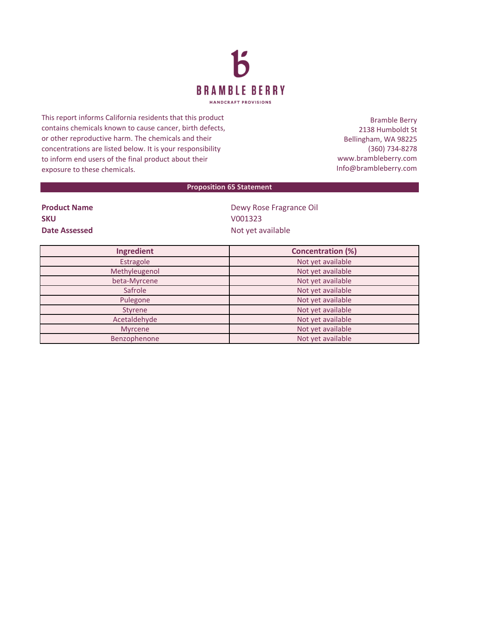

This report informs California residents that this product contains chemicals known to cause cancer, birth defects, or other reproductive harm. The chemicals and their concentrations are listed below. It is your responsibility to inform end users of the final product about their exposure to these chemicals.

Bramble Berry 2138 Humboldt St Bellingham, WA 98225 (360) 734-8278 www.brambleberry.com Info@brambleberry.com

## **Proposition 65 Statement**

| <b>Product Name</b> |  |
|---------------------|--|
| <b>SKU</b>          |  |
| Date Assessed       |  |

**Dewy Rose Fragrance Oil SKU** V001323 **Date Assessed** Not yet available

| Ingredient     | <b>Concentration (%)</b> |  |  |
|----------------|--------------------------|--|--|
| Estragole      | Not yet available        |  |  |
| Methyleugenol  | Not yet available        |  |  |
| beta-Myrcene   | Not yet available        |  |  |
| Safrole        | Not yet available        |  |  |
| Pulegone       | Not yet available        |  |  |
| Styrene        | Not yet available        |  |  |
| Acetaldehyde   | Not yet available        |  |  |
| <b>Myrcene</b> | Not yet available        |  |  |
| Benzophenone   | Not yet available        |  |  |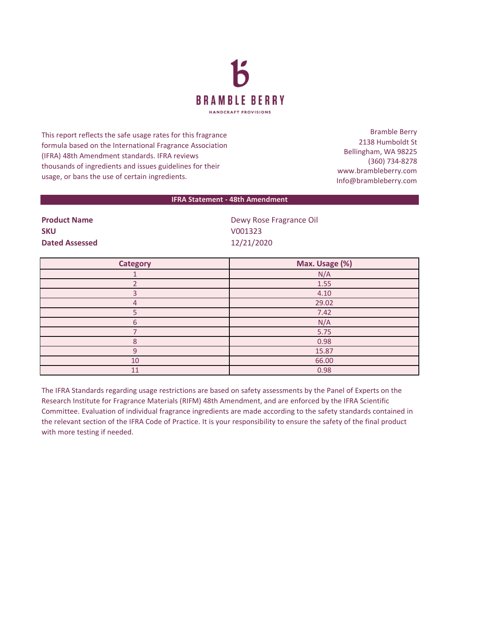

This report reflects the safe usage rates for this fragrance formula based on the International Fragrance Association (IFRA) 48th Amendment standards. IFRA reviews thousands of ingredients and issues guidelines for their usage, or bans the use of certain ingredients.

Bramble Berry 2138 Humboldt St Bellingham, WA 98225 (360) 734-8278 www.brambleberry.com Info@brambleberry.com

## **IFRA Statement - 48th Amendment**

| <b>Product Name</b>   | Dewy Rose Fragrance Oil |  |
|-----------------------|-------------------------|--|
| <b>SKU</b>            | V001323                 |  |
| <b>Dated Assessed</b> | 12/21/2020              |  |

| <b>Category</b> | Max. Usage (%) |
|-----------------|----------------|
|                 | N/A            |
|                 | 1.55           |
|                 | 4.10           |
| 4               | 29.02          |
|                 | 7.42           |
| 6               | N/A            |
|                 | 5.75           |
| $\Omega$        | 0.98           |
| $\cap$          | 15.87          |
| 10              | 66.00          |
| 11              | 0.98           |

The IFRA Standards regarding usage restrictions are based on safety assessments by the Panel of Experts on the Research Institute for Fragrance Materials (RIFM) 48th Amendment, and are enforced by the IFRA Scientific Committee. Evaluation of individual fragrance ingredients are made according to the safety standards contained in the relevant section of the IFRA Code of Practice. It is your responsibility to ensure the safety of the final product with more testing if needed.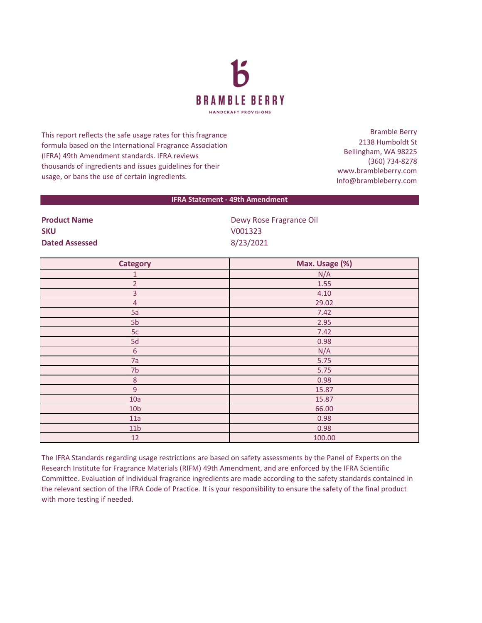

This report reflects the safe usage rates for this fragrance formula based on the International Fragrance Association (IFRA) 49th Amendment standards. IFRA reviews thousands of ingredients and issues guidelines for their usage, or bans the use of certain ingredients.

Bramble Berry 2138 Humboldt St Bellingham, WA 98225 (360) 734-8278 www.brambleberry.com Info@brambleberry.com

## **IFRA Statement - 49th Amendment**

| <b>SKU</b>            |  |  |
|-----------------------|--|--|
| <b>Dated Assessed</b> |  |  |

**Product Name Dewy Rose Fragrance Oil SKU** V001323 **Dated Assessed** 8/23/2021

| <b>Category</b> | Max. Usage (%) |
|-----------------|----------------|
| $\mathbf{1}$    | N/A            |
| $\overline{2}$  | 1.55           |
| $\overline{3}$  | 4.10           |
| $\overline{4}$  | 29.02          |
| 5a              | 7.42           |
| 5 <sub>b</sub>  | 2.95           |
| $5c$            | 7.42           |
| 5d              | 0.98           |
| $\sqrt{6}$      | N/A            |
| 7a              | 5.75           |
| 7 <sub>b</sub>  | 5.75           |
| $\,8\,$         | 0.98           |
| $\overline{9}$  | 15.87          |
| 10a             | 15.87          |
| 10 <sub>b</sub> | 66.00          |
| 11a             | 0.98           |
| 11 <sub>b</sub> | 0.98           |
| 12              | 100.00         |

The IFRA Standards regarding usage restrictions are based on safety assessments by the Panel of Experts on the Research Institute for Fragrance Materials (RIFM) 49th Amendment, and are enforced by the IFRA Scientific Committee. Evaluation of individual fragrance ingredients are made according to the safety standards contained in the relevant section of the IFRA Code of Practice. It is your responsibility to ensure the safety of the final product with more testing if needed.